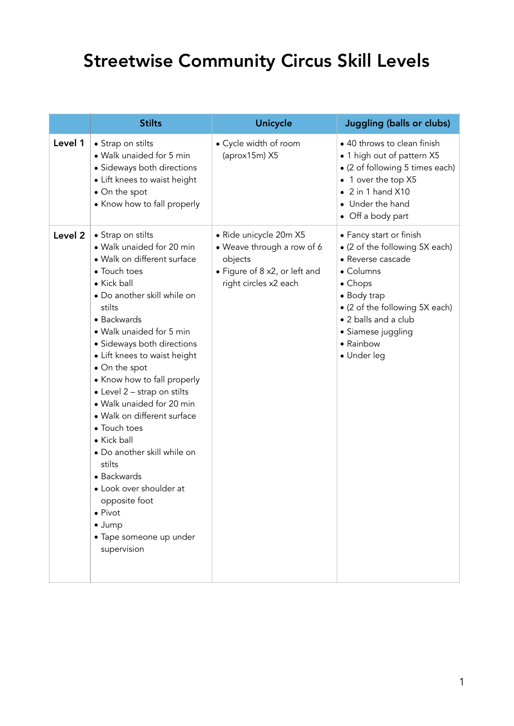## Streetwise Community Circus Skill Levels

|                    | <b>Stilts</b>                                                                                                                                                                                                                                                                                                                                                                                                                                                                                                                                                                                                               | Unicycle                                                                                                                  | <b>Juggling (balls or clubs)</b>                                                                                                                                                                                                          |
|--------------------|-----------------------------------------------------------------------------------------------------------------------------------------------------------------------------------------------------------------------------------------------------------------------------------------------------------------------------------------------------------------------------------------------------------------------------------------------------------------------------------------------------------------------------------------------------------------------------------------------------------------------------|---------------------------------------------------------------------------------------------------------------------------|-------------------------------------------------------------------------------------------------------------------------------------------------------------------------------------------------------------------------------------------|
| Level 1            | • Strap on stilts<br>· Walk unaided for 5 min<br>· Sideways both directions<br>• Lift knees to waist height<br>• On the spot<br>• Know how to fall properly                                                                                                                                                                                                                                                                                                                                                                                                                                                                 | • Cycle width of room<br>(aprox15m) X5                                                                                    | • 40 throws to clean finish<br>• 1 high out of pattern X5<br>• (2 of following 5 times each)<br>• 1 over the top X5<br>$\bullet$ 2 in 1 hand X10<br>• Under the hand<br>• Off a body part                                                 |
| Level <sub>2</sub> | • Strap on stilts<br>• Walk unaided for 20 min<br>· Walk on different surface<br>• Touch toes<br>• Kick ball<br>• Do another skill while on<br>stilts<br>• Backwards<br>• Walk unaided for 5 min<br>• Sideways both directions<br>• Lift knees to waist height<br>• On the spot<br>• Know how to fall properly<br>• Level 2 - strap on stilts<br>· Walk unaided for 20 min<br>· Walk on different surface<br>• Touch toes<br>• Kick ball<br>• Do another skill while on<br>stilts<br>• Backwards<br>• Look over shoulder at<br>opposite foot<br>$\bullet$ Pivot<br>$\bullet$ Jump<br>· Tape someone up under<br>supervision | • Ride unicycle 20m X5<br>• Weave through a row of 6<br>objects<br>• Figure of 8 x2, or left and<br>right circles x2 each | • Fancy start or finish<br>• (2 of the following 5X each)<br>• Reverse cascade<br>• Columns<br>$\bullet$ Chops<br>• Body trap<br>• (2 of the following 5X each)<br>• 2 balls and a club<br>• Siamese juggling<br>• Rainbow<br>· Under leg |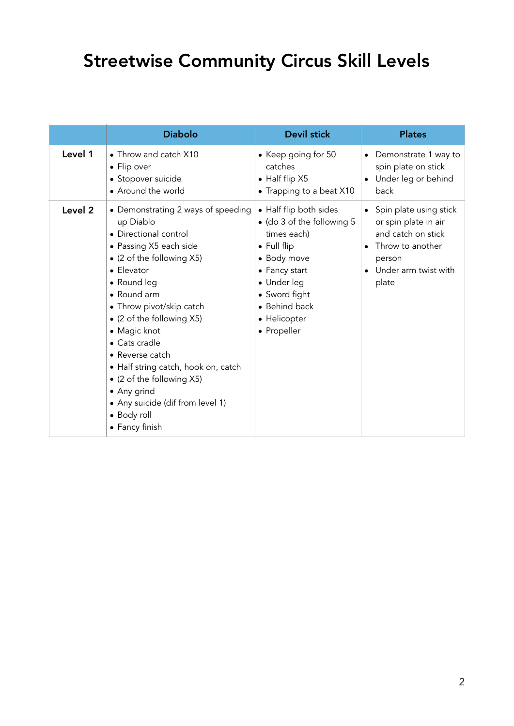## Streetwise Community Circus Skill Levels

|         | <b>Diabolo</b>                                                                                                                                                                                                                                                                                                                                                                                                                                   | <b>Devil stick</b>                                                                                                                                                                                 | <b>Plates</b>                                                                                                                       |
|---------|--------------------------------------------------------------------------------------------------------------------------------------------------------------------------------------------------------------------------------------------------------------------------------------------------------------------------------------------------------------------------------------------------------------------------------------------------|----------------------------------------------------------------------------------------------------------------------------------------------------------------------------------------------------|-------------------------------------------------------------------------------------------------------------------------------------|
| Level 1 | • Throw and catch X10<br>• Flip over<br>• Stopover suicide<br>• Around the world                                                                                                                                                                                                                                                                                                                                                                 | • Keep going for 50<br>catches<br>• Half flip X5<br>• Trapping to a beat X10                                                                                                                       | • Demonstrate 1 way to<br>spin plate on stick<br>Under leg or behind<br>back                                                        |
| Level 2 | • Demonstrating 2 ways of speeding<br>up Diablo<br>• Directional control<br>• Passing X5 each side<br>• (2 of the following X5)<br>• Elevator<br>• Round leg<br>• Round arm<br>• Throw pivot/skip catch<br>• (2 of the following X5)<br>• Magic knot<br>• Cats cradle<br>• Reverse catch<br>• Half string catch, hook on, catch<br>• (2 of the following X5)<br>• Any grind<br>• Any suicide (dif from level 1)<br>• Body roll<br>• Fancy finish | • Half flip both sides<br>• (do 3 of the following 5<br>times each)<br>• Full flip<br>• Body move<br>• Fancy start<br>• Under leg<br>• Sword fight<br>• Behind back<br>• Helicopter<br>• Propeller | Spin plate using stick<br>or spin plate in air<br>and catch on stick<br>Throw to another<br>person<br>Under arm twist with<br>plate |